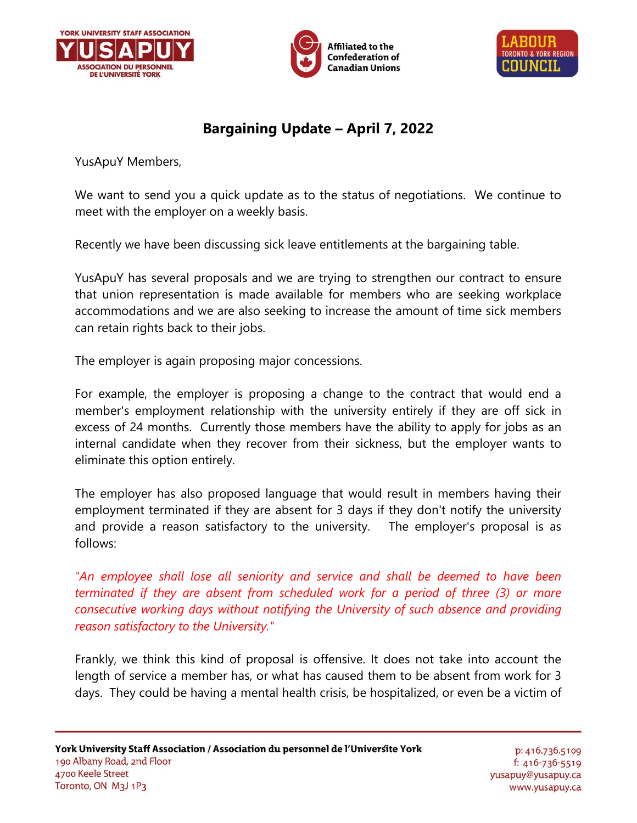





## **Bargaining Update – April 7, 2022**

YusApuY Members,

We want to send you a quick update as to the status of negotiations. We continue to meet with the employer on a weekly basis.

Recently we have been discussing sick leave entitlements at the bargaining table.

YusApuY has several proposals and we are trying to strengthen our contract to ensure that union representation is made available for members who are seeking workplace accommodations and we are also seeking to increase the amount of time sick members can retain rights back to their jobs.

The employer is again proposing major concessions.

For example, the employer is proposing a change to the contract that would end a member's employment relationship with the university entirely if they are off sick in excess of 24 months. Currently those members have the ability to apply for jobs as an internal candidate when they recover from their sickness, but the employer wants to eliminate this option entirely.

The employer has also proposed language that would result in members having their employment terminated if they are absent for 3 days if they don't notify the university and provide a reason satisfactory to the university. The employer's proposal is as follows:

*"An employee shall lose all seniority and service and shall be deemed to have been terminated if they are absent from scheduled work for a period of three (3) or more consecutive working days without notifying the University of such absence and providing reason satisfactory to the University."* 

Frankly, we think this kind of proposal is offensive. It does not take into account the length of service a member has, or what has caused them to be absent from work for 3 days. They could be having a mental health crisis, be hospitalized, or even be a victim of